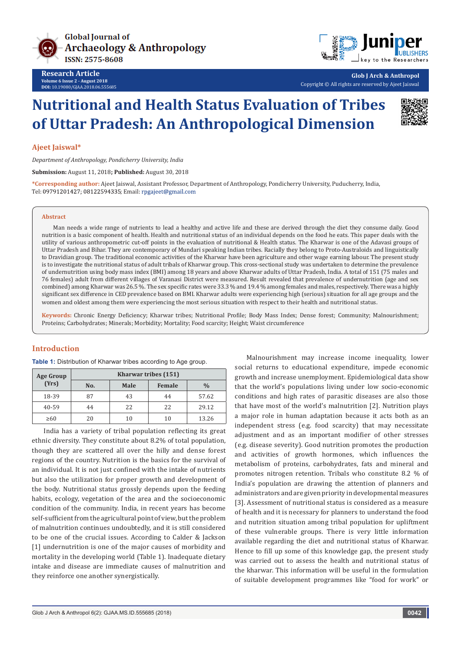



**Glob J Arch & Anthropol** Copyright © All rights are reserved by Ajeet Jaiswal

# **Nutritional and Health Status Evaluation of Tribes of Uttar Pradesh: An Anthropological Dimension**



## **Ajeet Jaiswal\***

*Department of Anthropology, Pondicherry University, India*

**Submission:** August 11, 2018**; Published:** August 30, 2018

**\*Corresponding author:** Ajeet Jaiswal, Assistant Professor, Department of Anthropology, Pondicherry University, Puducherry, India, Tel: 09791201427; 08122594335; Email: rpgajeet@gmail.com

#### **Abstract**

Man needs a wide range of nutrients to lead a healthy and active life and these are derived through the diet they consume daily. Good nutrition is a basic component of health. Health and nutritional status of an individual depends on the food he eats. This paper deals with the utility of various anthropometric cut-off points in the evaluation of nutritional & Health status. The Kharwar is one of the Adavasi groups of Uttar Pradesh and Bihar. They are contemporary of Mundari speaking Indian tribes. Racially they belong to Proto-Australoids and linguistically to Dravidian group. The traditional economic activities of the Kharwar have been agriculture and other wage earning labour. The present study is to investigate the nutritional status of adult tribals of Kharwar group. This cross-sectional study was undertaken to determine the prevalence of undernutrition using body mass index (BMI) among 18 years and above Kharwar adults of Uttar Pradesh, India. A total of 151 (75 males and 76 females) adult from different villages of Varanasi District were measured. Result revealed that prevalence of undernutrition (age and sex combined) among Kharwar was 26.5 %. The sex specific rates were 33.3 % and 19.4 % among females and males, respectively. There was a highly significant sex difference in CED prevalence based on BMI. Kharwar adults were experiencing high (serious) situation for all age groups and the women and oldest among them were experiencing the most serious situation with respect to their health and nutritional status.

**Keywords:** Chronic Energy Deficiency; Kharwar tribes; Nutritional Profile; Body Mass Index; Dense forest; Community; Malnourishment; Proteins; Carbohydrates; Minerals; Morbidity; Mortality; Food scarcity; Height; Waist circumference

# **Introduction**

| <b>Age Group</b> | Kharwar tribes (151) |      |               |               |  |  |  |
|------------------|----------------------|------|---------------|---------------|--|--|--|
| (Yrs)            | No.                  | Male | <b>Female</b> | $\frac{0}{0}$ |  |  |  |
| 18-39            | 87                   | 43   | 44            | 57.62         |  |  |  |
| 40-59            | 44                   | 22   | 22            | 29.12         |  |  |  |
| $\geq 60$        | 20                   | 10   | 10            | 13.26         |  |  |  |

**Table 1:** Distribution of Kharwar tribes according to Age group.

India has a variety of tribal population reflecting its great ethnic diversity. They constitute about 8.2% of total population, though they are scattered all over the hilly and dense forest regions of the country. Nutrition is the basics for the survival of an individual. It is not just confined with the intake of nutrients but also the utilization for proper growth and development of the body. Nutritional status grossly depends upon the feeding habits, ecology, vegetation of the area and the socioeconomic condition of the community. India, in recent years has become self-sufficient from the agricultural point of view, but the problem of malnutrition continues undoubtedly, and it is still considered to be one of the crucial issues. According to Calder & Jackson [1] undernutrition is one of the major causes of morbidity and mortality in the developing world (Table 1). Inadequate dietary intake and disease are immediate causes of malnutrition and they reinforce one another synergistically.

Malnourishment may increase income inequality, lower social returns to educational expenditure, impede economic growth and increase unemployment. Epidemiological data show that the world's populations living under low socio-economic conditions and high rates of parasitic diseases are also those that have most of the world's malnutrition [2]. Nutrition plays a major role in human adaptation because it acts both as an independent stress (e.g. food scarcity) that may necessitate adjustment and as an important modifier of other stresses (e.g. disease severity). Good nutrition promotes the production and activities of growth hormones, which influences the metabolism of proteins, carbohydrates, fats and mineral and promotes nitrogen retention. Tribals who constitute 8.2 % of India's population are drawing the attention of planners and administrators and are given priority in developmental measures [3]. Assessment of nutritional status is considered as a measure of health and it is necessary for planners to understand the food and nutrition situation among tribal population for upliftment of these vulnerable groups. There is very little information available regarding the diet and nutritional status of Kharwar. Hence to fill up some of this knowledge gap, the present study was carried out to assess the health and nutritional status of the kharwar. This information will be useful in the formulation of suitable development programmes like "food for work" or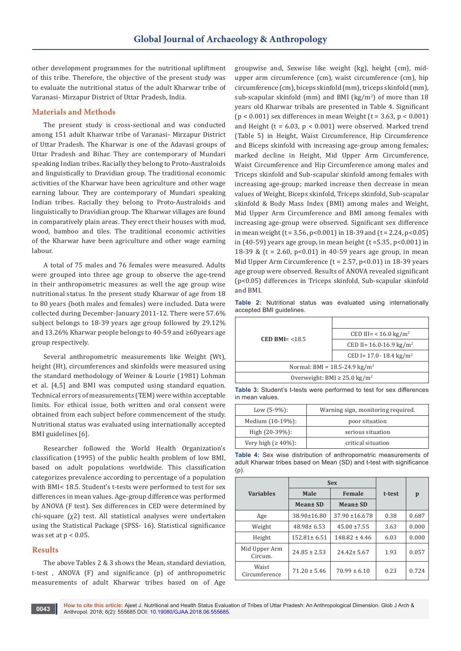other development programmes for the nutritional upliftment of this tribe. Therefore, the objective of the present study was to evaluate the nutritional status of the adult Kharwar tribe of Varanasi- Mirzapur District of Uttar Pradesh, India.

# **Materials and Methods**

The present study is cross-sectional and was conducted among 151 adult Kharwar tribe of Varanasi- Mirzapur District of Uttar Pradesh. The Kharwar is one of the Adavasi groups of Uttar Pradesh and Bihar. They are contemporary of Mundari speaking Indian tribes. Racially they belong to Proto-Australoids and linguistically to Dravidian group. The traditional economic activities of the Kharwar have been agriculture and other wage earning labour. They are contemporary of Mundari speaking Indian tribes. Racially they belong to Proto-Australoids and linguistically to Dravidian group. The Kharwar villages are found in comparatively plain areas. They erect their houses with mud, wood, bamboo and tiles. The traditional economic activities of the Kharwar have been agriculture and other wage earning labour.

A total of 75 males and 76 females were measured. Adults were grouped into three age group to observe the age-trend in their anthropometric measures as well the age group wise nutritional status. In the present study Kharwar of age from 18 to 80 years (both males and females) were included. Data were collected during December-January 2011-12. There were 57.6% subject belongs to 18-39 years age group followed by 29.12% and 13.26% Kharwar people belongs to 40-59 and ≥60years age group respectively.

Several anthropometric measurements like Weight (Wt), height (Ht), circumferences and skinfolds were measured using the standard methodology of Weiner & Lourie (1981) Lohman et al. [4,5] and BMI was computed using standard equation. Technical errors of measurements (TEM) were within acceptable limits. For ethical issue, both written and oral consent were obtained from each subject before commencement of the study. Nutritional status was evaluated using internationally accepted BMI guidelines [6].

Researcher followed the World Health Organization's classification (1995) of the public health problem of low BMI, based on adult populations worldwide. This classification categorizes prevalence according to percentage of a population with BMI< 18.5. Student's t-tests were performed to test for sex differences in mean values. Age-group difference was performed by ANOVA (F test). Sex differences in CED were determined by chi-square (χ2) test. All statistical analyses were undertaken using the Statistical Package (SPSS- 16). Statistical significance was set at  $p < 0.05$ .

# **Results**

The above Tables 2 & 3 shows the Mean, standard deviation, t-test , ANOVA (F) and significance (p) of anthropometric measurements of adult Kharwar tribes based on of Age groupwise and, Sexwise like weight (kg), height (cm), midupper arm circumference (cm), waist circumference (cm), hip circumference (cm), biceps skinfold (mm), triceps skinfold (mm), sub-scapular skinfold (mm) and BMI (kg/m<sup>2</sup> ) of more than 18 years old Kharwar tribals are presented in Table 4. Significant  $(p < 0.001)$  sex differences in mean Weight  $(t = 3.63, p < 0.001)$ and Height ( $t = 6.03$ ,  $p < 0.001$ ) were observed. Marked trend (Table 5) in Height, Waist Circumference, Hip Circumference and Biceps skinfold with increasing age-group among females; marked decline in Height, Mid Upper Arm Circumference, Waist Circumference and Hip Circumference among males and Triceps skinfold and Sub-scapular skinfold among females with increasing age-group; marked increase then decrease in mean values of Weight, Biceps skinfold, Triceps skinfold, Sub-scapular skinfold & Body Mass Index (BMI) among males and Weight, Mid Upper Arm Circumference and BMI among females with increasing age-group were observed. Significant sex difference in mean weight ( $t = 3.56$ ,  $p < 0.001$ ) in 18-39 and ( $t = 2.24$ ,  $p < 0.05$ ) in (40-59) years age group, in mean height ( $t = 5.35$ ,  $p < 0.001$ ) in 18-39 & (t = 2.60, p<0.01) in 40-59 years age group, in mean Mid Upper Arm Circumference ( $t = 2.57$ ,  $p < 0.01$ ) in 18-39 years age group were observed. Results of ANOVA revealed significant (p<0.05) differences in Triceps skinfold, Sub-scapular skinfold and BMI.

|  |                          |  |  | <b>Table 2:</b> Nutritional status was evaluated using internationally |
|--|--------------------------|--|--|------------------------------------------------------------------------|
|  | accepted BMI guidelines. |  |  |                                                                        |

| CED BMI $=$ <18.5                             | CED III= < 16.0 kg/m <sup>2</sup>       |  |  |  |
|-----------------------------------------------|-----------------------------------------|--|--|--|
|                                               | CED II= $16.0 - 16.9$ kg/m <sup>2</sup> |  |  |  |
|                                               | CED I= 17.0- 18.4 kg/m <sup>2</sup>     |  |  |  |
| Normal: BMI = $18.5 - 24.9 \text{ kg/m}^2$    |                                         |  |  |  |
| Overweight: BMI $\geq$ 25.0 kg/m <sup>2</sup> |                                         |  |  |  |

**Table 3:** Student's t-tests were performed to test for sex differences in mean values.

| Low $(5-9%)$ :             | Warning sign, monitoring required. |
|----------------------------|------------------------------------|
| Medium (10-19%):           | poor situation                     |
| High $(20-39%)$ :          | serious situation                  |
| Very high $( \geq 40\%)$ : | critical situation                 |

**Table 4:** Sex wise distribution of anthropometric measurements of adult Kharwar tribes based on Mean (SD) and t-test with significance (p).

|                          | <b>Sex</b>           |                    |        |       |  |
|--------------------------|----------------------|--------------------|--------|-------|--|
| <b>Variables</b>         | Male                 | Female             | t-test | p     |  |
|                          | Mean± SD<br>Mean± SD |                    |        |       |  |
| Age                      | $38.90 \pm 16.80$    | $37.90 \pm 16.678$ | 0.38   | 0.687 |  |
| Weight                   | $48.98 \pm 6.53$     | $45.00 \pm 7.55$   | 3.63   | 0.000 |  |
| Height                   | $152.81 \pm 6.51$    | $148.82 \pm 4.46$  | 6.03   | 0.000 |  |
| Mid Upper Arm<br>Circum. | $24.85 \pm 2.53$     | $24.42 \pm 5.67$   | 1.93   | 0.057 |  |
| Waist<br>Circumference   | $71.20 \pm 5.46$     | $70.99 \pm 6.10$   | 0.23   | 0.724 |  |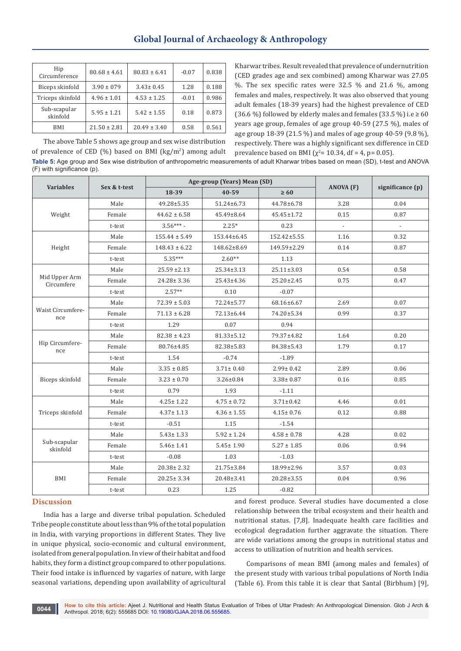| Hip<br>Circumference     | $80.68 \pm 4.61$ | $80.83 \pm 6.41$ | $-0.07$ | 0.838 |
|--------------------------|------------------|------------------|---------|-------|
| Biceps skinfold          | $3.90 \pm 079$   | $3.43 \pm 0.45$  | 1.28    | 0.188 |
| Triceps skinfold         | $4.96 \pm 1.01$  | $4.53 \pm 1.25$  | $-0.01$ | 0.986 |
| Sub-scapular<br>skinfold | $5.95 \pm 1.21$  | $5.42 \pm 1.55$  | 0.18    | 0.873 |
| <b>BMI</b>               | $21.50 \pm 2.81$ | $20.49 \pm 3.40$ | 0.58    | 0.561 |

The above Table 5 shows age group and sex wise distribution of prevalence of CED (%) based on BMI (kg/m<sup>2</sup>) among adult Kharwar tribes. Result revealed that prevalence of undernutrition (CED grades age and sex combined) among Kharwar was 27.05 %. The sex specific rates were 32.5 % and 21.6 %, among females and males, respectively. It was also observed that young adult females (18-39 years) had the highest prevalence of CED (36.6 %) followed by elderly males and females (33.5 %) i.e  $\geq 60$ years age group, females of age group 40-59 (27.5 %), males of age group 18-39 (21.5 %) and males of age group 40-59 (9.8 %), respectively. There was a highly significant sex difference in CED prevalence based on BMI ( $\chi^2$ = 10.34, df = 4, p= 0.05).

**Table 5:** Age group and Sex wise distribution of anthropometric measurements of adult Kharwar tribes based on mean (SD), t-test and ANOVA (F) with significance (p).

|                             |              |                   | Age-group (Years) Mean (SD) |                  |               |                     |
|-----------------------------|--------------|-------------------|-----------------------------|------------------|---------------|---------------------|
| <b>Variables</b>            | Sex & t-test | 18-39             | 40-59                       | $\geq 60$        | ANOVA (F)     | significance (p)    |
|                             | Male         | 49.28±5.35        | 51.24±6.73                  | 44.78±6.78       | 3.28          | 0.04                |
| Weight                      | Female       | $44.62 \pm 6.58$  | 45.49±8.64                  | 45.45±1.72       | 0.15          | 0.87                |
|                             | t-test       | $3.56***$         | $2.25*$                     | 0.23             | $\mathcal{L}$ | $\mathcal{L}^{\pm}$ |
|                             | Male         | $155.44 \pm 5.49$ | $153.44 \pm 6.45$           | 152.42±5.55      | 1.16          | 0.32                |
| Height                      | Female       | $148.43 \pm 6.22$ | 148.62±8.69                 | 149.59±2.29      | 0.14          | 0.87                |
|                             | t-test       | $5.35***$         | $2.60**$                    | 1.13             |               |                     |
|                             | Male         | $25.59 \pm 2.13$  | $25.34 \pm 3.13$            | $25.11 \pm 3.03$ | 0.54          | 0.58                |
| Mid Upper Arm<br>Circumfere | Female       | $24.28 \pm 3.36$  | 25.43±4.36                  | $25.20 \pm 2.45$ | 0.75          | 0.47                |
|                             | t-test       | $2.57**$          | 0.10                        | $-0.07$          |               |                     |
|                             | Male         | $72.39 \pm 5.03$  | 72.24±5.77                  | 68.16±6.67       | 2.69          | 0.07                |
| Waist Circumfere-           | Female       | $71.13 \pm 6.28$  | 72.13±6.44                  | 74.20±5.34       | 0.99          | 0.37                |
| nce                         | t-test       | 1.29              | 0.07                        | 0.94             |               |                     |
|                             | Male         | $82.38 \pm 4.23$  | 81.33±5.12                  | 79.37±4.82       | 1.64          | 0.20                |
| Hip Circumfere-<br>nce      | Female       | 80.76±4.85        | 82.38±5.83                  | 84.38±5.43       | 1.79          | 0.17                |
|                             | t-test       | 1.54              | $-0.74$                     | $-1.89$          |               |                     |
| Biceps skinfold             | Male         | $3.35 \pm 0.85$   | $3.71 \pm 0.40$             | $2.99 \pm 0.42$  | 2.89          | 0.06                |
|                             | Female       | $3.23 \pm 0.70$   | $3.26 \pm 0.84$             | $3.38 \pm 0.87$  | 0.16          | 0.85                |
|                             | t-test       | 0.79              | 1.93                        | $-1.11$          |               |                     |
|                             | Male         | $4.25 \pm 1.22$   | $4.75 \pm 0.72$             | $3.71 \pm 0.42$  | 4.46          | 0.01                |
| Triceps skinfold            | Female       | $4.37 \pm 1.13$   | $4.36 \pm 1.55$             | $4.15 \pm 0.76$  | 0.12          | 0.88                |
|                             | t-test       | $-0.51$           | 1.15                        | $-1.54$          |               |                     |
|                             | Male         | $5.43 \pm 1.33$   | $5.92 \pm 1.24$             | $4.58 \pm 0.78$  | 4.28          | 0.02                |
| Sub-scapular<br>skinfold    | Female       | $5.46 \pm 1.41$   | $5.45 \pm 1.90$             | $5.27 \pm 1.85$  | 0.06          | 0.94                |
|                             | t-test       | $-0.08$           | 1.03                        | $-1.03$          |               |                     |
|                             | Male         | $20.38 \pm 2.32$  | 21.75±3.84                  | 18.99±2.96       | 3.57          | 0.03                |
| BMI                         | Female       | $20.25 \pm 3.34$  | 20.48±3.41                  | $20.28 \pm 3.55$ | 0.04          | 0.96                |
|                             | t-test       | 0.23              | 1.25                        | $-0.82$          |               |                     |

#### **Discussion**

India has a large and diverse tribal population. Scheduled Tribe people constitute about less than 9% of the total population in India, with varying proportions in different States. They live in unique physical, socio-economic and cultural environment, isolated from general population. In view of their habitat and food habits, they form a distinct group compared to other populations. Their food intake is influenced by vagaries of nature, with large seasonal variations, depending upon availability of agricultural

and forest produce. Several studies have documented a close relationship between the tribal ecosystem and their health and nutritional status. [7,8]. Inadequate health care facilities and ecological degradation further aggravate the situation. There are wide variations among the groups in nutritional status and access to utilization of nutrition and health services.

Comparisons of mean BMI (among males and females) of the present study with various tribal populations of North India (Table 6). From this table it is clear that Santal (Birbhum) [9],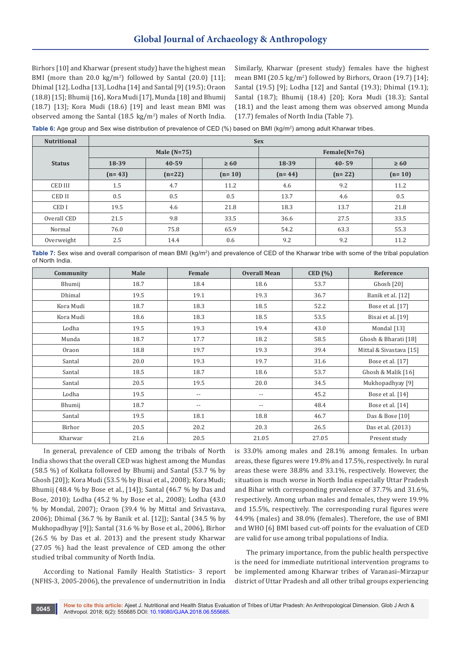Birhors [10] and Kharwar (present study) have the highest mean BMI (more than 20.0 kg/m<sup>2</sup>) followed by Santal  $(20.0)$  [11]; Dhimal [12], Lodha [13], Lodha [14] and Santal [9] (19.5); Oraon (18.8) [15]; Bhumij [16], Kora Mudi [17], Munda [18] and Bhumij (18.7) [13]; Kora Mudi (18.6) [19] and least mean BMI was observed among the Santal  $(18.5 \text{ kg/m}^2)$  males of North India. Similarly, Kharwar (present study) females have the highest mean BMI (20.5 kg/m<sup>2</sup> ) followed by Birhors, Oraon (19.7) [14]; Santal (19.5) [9]; Lodha [12] and Santal (19.3); Dhimal (19.1); Santal (18.7); Bhumij (18.4) [20]; Kora Mudi (18.3); Santal (18.1) and the least among them was observed among Munda (17.7) females of North India (Table 7).

**Table 6:** Age group and Sex wise distribution of prevalence of CED (%) based on BMI (kg/m²) among adult Kharwar tribes.

| <b>Nutritional</b> | <b>Sex</b> |               |           |                 |           |           |
|--------------------|------------|---------------|-----------|-----------------|-----------|-----------|
|                    |            | Male $(N=75)$ |           | Female $(N=76)$ |           |           |
| <b>Status</b>      | 18-39      | $40 - 59$     | $\geq 60$ | 18-39           | $40 - 59$ | $\geq 60$ |
|                    | $(n=43)$   | $(n=22)$      | $(n=10)$  | $(n=44)$        | $(n=22)$  | $(n=10)$  |
| <b>CED III</b>     | 1.5        | 4.7           | 11.2      | 4.6             | 9.2       | 11.2      |
| <b>CEDII</b>       | 0.5        | 0.5           | 0.5       | 13.7            | 4.6       | 0.5       |
| CED I              | 19.5       | 4.6           | 21.8      | 18.3            | 13.7      | 21.8      |
| Overall CED        | 21.5       | 9.8           | 33.5      | 36.6            | 27.5      | 33.5      |
| Normal             | 76.0       | 75.8          | 65.9      | 54.2            | 63.3      | 55.3      |
| Overweight         | 2.5        | 14.4          | 0.6       | 9.2             | 9.2       | 11.2      |

**Table 7:** Sex wise and overall comparison of mean BMI (kg/m<sup>2</sup>) and prevalence of CED of the Kharwar tribe with some of the tribal population of North India.

| Community | Male | Female                   | <b>Overall Mean</b>        | CED(%) | Reference               |
|-----------|------|--------------------------|----------------------------|--------|-------------------------|
| Bhumij    | 18.7 | 18.4                     | 18.6                       | 53.7   | Ghosh [20]              |
| Dhimal    | 19.5 | 19.1                     | 19.3                       | 36.7   | Banik et al. [12]       |
| Kora Mudi | 18.7 | 18.3                     | 18.5                       | 52.2   | Bose et al. [17]        |
| Kora Mudi | 18.6 | 18.3                     | 18.5                       | 53.5   | Bisai et al. [19]       |
| Lodha     | 19.5 | 19.3                     | 19.4                       | 43.0   | Mondal [13]             |
| Munda     | 18.7 | 17.7                     | 18.2                       | 58.5   | Ghosh & Bharati [18]    |
| Oraon     | 18.8 | 19.7                     | 19.3                       | 39.4   | Mittal & Sivastava [15] |
| Santal    | 20.0 | 19.3                     | 19.7                       | 31.6   | Bose et al. [17]        |
| Santal    | 18.5 | 18.7                     | 18.6                       | 53.7   | Ghosh & Malik [16]      |
| Santal    | 20.5 | 19.5                     | 20.0                       | 34.5   | Mukhopadhyay [9]        |
| Lodha     | 19.5 | $\overline{\phantom{a}}$ | $-$                        | 45.2   | Bose et al. [14]        |
| Bhumij    | 18.7 | $-$                      | $\overline{\phantom{a}}$ . | 48.4   | Bose et al. [14]        |
| Santal    | 19.5 | 18.1                     | 18.8                       | 46.7   | Das & Bose [10]         |
| Birhor    | 20.5 | 20.2                     | 20.3                       | 26.5   | Das et al. (2013)       |
| Kharwar   | 21.6 | 20.5                     | 21.05                      | 27.05  | Present study           |

In general, prevalence of CED among the tribals of North India shows that the overall CED was highest among the Mundas (58.5 %) of Kolkata followed by Bhumij and Santal (53.7 % by Ghosh [20]); Kora Mudi (53.5 % by Bisai et al., 2008); Kora Mudi; Bhumij (48.4 % by Bose et al., [14]); Santal (46.7 % by Das and Bose, 2010); Lodha (45.2 % by Bose et al., 2008); Lodha (43.0 % by Mondal, 2007); Oraon (39.4 % by Mittal and Srivastava, 2006); Dhimal (36.7 % by Banik et al. [12]); Santal (34.5 % by Mukhopadhyay [9]); Santal (31.6 % by Bose et al., 2006), Birhor (26.5 % by Das et al. 2013) and the present study Kharwar (27.05 %) had the least prevalence of CED among the other studied tribal community of North India.

According to National Family Health Statistics- 3 report (NFHS-3, 2005-2006), the prevalence of undernutrition in India

is 33.0% among males and 28.1% among females. In urban areas, these figures were 19.8% and 17.5%, respectively. In rural areas these were 38.8% and 33.1%, respectively. However, the situation is much worse in North India especially Uttar Pradesh and Bihar with corresponding prevalence of 37.7% and 31.6%, respectively. Among urban males and females, they were 19.9% and 15.5%, respectively. The corresponding rural figures were 44.9% (males) and 38.0% (females). Therefore, the use of BMI and WHO [6] BMI based cut-off points for the evaluation of CED are valid for use among tribal populations of India.

The primary importance, from the public health perspective is the need for immediate nutritional intervention programs to be implemented among Kharwar tribes of Varanasi–Mirzapur district of Uttar Pradesh and all other tribal groups experiencing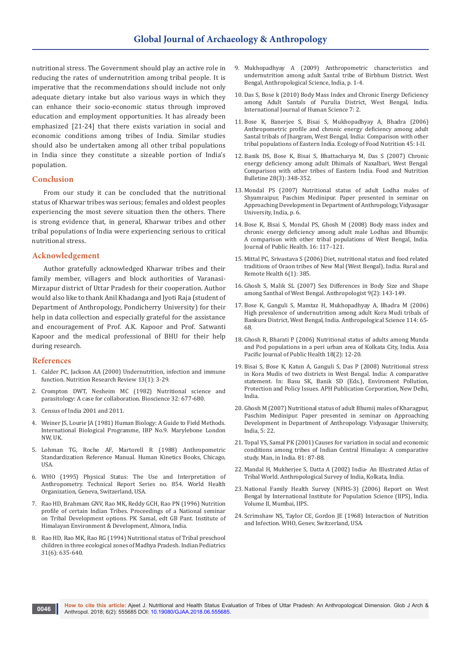nutritional stress. The Government should play an active role in reducing the rates of undernutrition among tribal people. It is imperative that the recommendations should include not only adequate dietary intake but also various ways in which they can enhance their socio-economic status through improved education and employment opportunities. It has already been emphasized [21-24] that there exists variation in social and economic conditions among tribes of India. Similar studies should also be undertaken among all other tribal populations in India since they constitute a sizeable portion of India's population.

## **Conclusion**

From our study it can be concluded that the nutritional status of Kharwar tribes was serious; females and oldest peoples experiencing the most severe situation then the others. There is strong evidence that, in general, Kharwar tribes and other tribal populations of India were experiencing serious to critical nutritional stress.

## **Acknowledgement**

Author gratefully acknowledged Kharwar tribes and their family member, villagers and block authorities of Varanasi-Mirzapur district of Uttar Pradesh for their cooperation. Author would also like to thank Anil Khadanga and Jyoti Raja (student of Department of Anthropology, Pondicherry University) for their help in data collection and especially grateful for the assistance and encouragement of Prof. A.K. Kapoor and Prof. Satwanti Kapoor and the medical professional of BHU for their help during research.

## **References**

- 1. [Calder PC, Jackson AA \(2000\) Undernutrition, infection and immune](https://www.ncbi.nlm.nih.gov/pubmed/19087431)  [function. Nutrition Research Review 13\(1\): 3-29.](https://www.ncbi.nlm.nih.gov/pubmed/19087431)
- 2. [Crompton DWT, Nesheim MC \(1982\) Nutritional science and](https://www.jstor.org/stable/pdf/1308819.pdf)  [parasitology: A case for collaboration. Bioscience 32: 677-680.](https://www.jstor.org/stable/pdf/1308819.pdf)
- 3. Census of India 2001 and 2011.
- 4. Weiner JS, Lourie JA (1981) Human Biology: A Guide to Field Methods. International Biological Programme, IBP No.9. Marylebone London NW, UK.
- 5. Lohman TG, Roche AF, Martorell R (1988) Anthropometric Standardization Reference Manual. Human Kinetics Books, Chicago, USA.
- 6. WHO (1995) Physical Status: The Use and Interpretation of Anthropometry. Technical Report Series no. 854. World Health Organization, Geneva, Switzerland, USA.
- 7. Rao HD, Brahmam GNV, Rao MK, Reddy GCH, Rao PN (1996) Nutrition profile of certain Indian Tribes. Proceedings of a National seminar on Tribal Development options. PK Samal, edt GB Pant. Institute of Himalayan Environment & Development, Almora, India.
- 8. [Rao HD, Rao MK, Rao RG \(1994\) Nutritional status of Tribal preschool](https://www.ncbi.nlm.nih.gov/pubmed/7896385)  [children in three ecological zones of Madhya Pradesh. Indian Pediatrics](https://www.ncbi.nlm.nih.gov/pubmed/7896385)  [31\(6\): 635-640.](https://www.ncbi.nlm.nih.gov/pubmed/7896385)
- 9. Mukhopadhyay A (2009) Anthropometric characteristics and undernutrition among adult Santal tribe of Birbhum District. West Bengal, Anthropological Science, India, p. 1-4.
- 10. [Das S, Bose k \(2010\) Body Mass Index and Chronic Energy Deficiency](https://www.j-humansciences.com/ojs/index.php/IJHS/article/view/1123/0)  [among Adult Santals of Purulia District, West Bengal, India.](https://www.j-humansciences.com/ojs/index.php/IJHS/article/view/1123/0)  [International Journal of Human Science 7: 2.](https://www.j-humansciences.com/ojs/index.php/IJHS/article/view/1123/0)
- 11. [Bose K, Banerjee S, Bisai S, Mukhopadhyay A, Bhadra \(2006\)](https://www.tandfonline.com/doi/abs/10.1080/03670240600648906)  [Anthropometric profile and chronic energy deficiency among adult](https://www.tandfonline.com/doi/abs/10.1080/03670240600648906)  [Santal tribals of Jhargram, West Bengal, India: Comparison with other](https://www.tandfonline.com/doi/abs/10.1080/03670240600648906)  [tribal populations of Eastern India. Ecology of Food Nutrition 45: I-II.](https://www.tandfonline.com/doi/abs/10.1080/03670240600648906)
- 12. [Banik DS, Bose K, Bisai S, Bhattacharya M, Das S \(2007\) Chronic](http://journals.sagepub.com/doi/abs/10.1177/156482650702800311)  [energy deficiency among adult Dhimals of Naxalbari, West Bengal:](http://journals.sagepub.com/doi/abs/10.1177/156482650702800311)  [Comparison with other tribes of Eastern India. Food and Nutrition](http://journals.sagepub.com/doi/abs/10.1177/156482650702800311)  [Bulletine 28\(3\): 348-352.](http://journals.sagepub.com/doi/abs/10.1177/156482650702800311)
- 13. Mondal PS (2007) Nutritional status of adult Lodha males of Shyamraipur, Paschim Medinipur. Paper presented in seminar on Approaching Development in Department of Anthropology, Vidyasagar University, India, p. 6.
- 14. [Bose K, Bisai S, Mondal PS, Ghosh M \(2008\) Body mass index and](https://link.springer.com/article/10.1007/s10389-007-0153-x)  [chronic energy deficiency among adult male Lodhas and Bhumijs:](https://link.springer.com/article/10.1007/s10389-007-0153-x)  [A comparison with other tribal populations of West Bengal, India.](https://link.springer.com/article/10.1007/s10389-007-0153-x)  [Journal of Public Health. 16: 117–121.](https://link.springer.com/article/10.1007/s10389-007-0153-x)
- 15. [Mittal PC, Srivastava S \(2006\) Diet, nutritional status and food related](https://www.ncbi.nlm.nih.gov/pubmed/16602836)  [traditions of Oraon tribes of New Mal \(West Bengal\), India. Rural and](https://www.ncbi.nlm.nih.gov/pubmed/16602836)  [Remote Health 6\(1\): 385.](https://www.ncbi.nlm.nih.gov/pubmed/16602836)
- 16. [Ghosh S, Malik SL \(2007\) Sex Differences in Body Size and Shape](http://krepublishers.com/02-Journals/T-Anth/Anth-09-0-000-000-2007-Web/Anth-09-2-000-000-2007-Abst-PDF/Anth-09-2-143-149-2007-398-Ghosh-S/Anth-09-2-143-149-2007-398-Ghosh-S-Tt.pdf)  [among Santhal of West Bengal. Anthropologist 9\(2\): 143-149.](http://krepublishers.com/02-Journals/T-Anth/Anth-09-0-000-000-2007-Web/Anth-09-2-000-000-2007-Abst-PDF/Anth-09-2-143-149-2007-398-Ghosh-S/Anth-09-2-143-149-2007-398-Ghosh-S-Tt.pdf)
- 17. [Bose K, Ganguli S, Mamtaz H, Mukhopadhyay A, Bhadra M \(2006\)](https://www.jstage.jst.go.jp/article/ase/114/1/114_1_65/_html/-char/en)  [High prevalence of undernutrition among adult Kora Mudi tribals of](https://www.jstage.jst.go.jp/article/ase/114/1/114_1_65/_html/-char/en)  [Bankura District, West Bengal, India. Anthropological Science 114: 65-](https://www.jstage.jst.go.jp/article/ase/114/1/114_1_65/_html/-char/en) [68.](https://www.jstage.jst.go.jp/article/ase/114/1/114_1_65/_html/-char/en)
- 18. [Ghosh R, Bharati P \(2006\) Nutritional status of adults among Munda](https://www.ncbi.nlm.nih.gov/pubmed/16883965)  [and Pod populations in a peri urban area of Kolkata City, India. Asia](https://www.ncbi.nlm.nih.gov/pubmed/16883965)  [Pacific Journal of Public Health 18\(2\): 12-20.](https://www.ncbi.nlm.nih.gov/pubmed/16883965)
- 19. Bisai S, Bose K, Katun A, Ganguli S, Das P (2008) Nutritional stress in Kora Mudis of two districts in West Bengal. India: A comparative statement. In: Basu SK, Banik SD (Eds.), Enviroment Pollution, Protection and Policy Issues. APH Publication Corporation, New Delhi, India.
- 20. Ghosh M (2007) Nutritional status of adult Bhumij males of Kharagpur, Paschim Medinipur. Paper presented in seminar on Approaching Development in Department of Anthropology. Vidyasagar University, India, 5: 22.
- 21. Topal YS, Samal PK (2001) Causes for variation in social and economic conditions among tribes of Indian Central Himalaya: A comparative study. Man, in India. 81: 87-88.
- 22. Mandal H, Mukherjee S, Datta A (2002) India- An Illustrated Atlas of Tribal World. Anthropological Survey of India, Kolkata, India.
- 23. National Family Health Survey (NFHS-3) (2006) Report on West Bengal by International Institute for Population Science (IIPS), India. Volume II, Mumbai, IIPS.
- 24. Scrimshaw NS, Taylor CE, Gordon JE (1968) Interaction of Nutrition and Infection. WHO, Genev, Switzerland, USA.